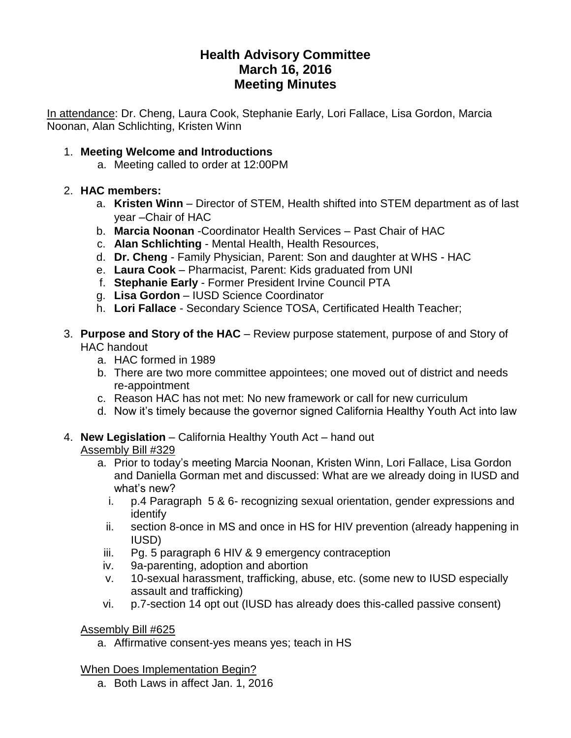# **Health Advisory Committee March 16, 2016 Meeting Minutes**

In attendance: Dr. Cheng, Laura Cook, Stephanie Early, Lori Fallace, Lisa Gordon, Marcia Noonan, Alan Schlichting, Kristen Winn

## 1. **Meeting Welcome and Introductions**

a. Meeting called to order at 12:00PM

### 2. **HAC members:**

- a. **Kristen Winn** Director of STEM, Health shifted into STEM department as of last year –Chair of HAC
- b. **Marcia Noonan** -Coordinator Health Services Past Chair of HAC
- c. **Alan Schlichting** Mental Health, Health Resources,
- d. **Dr. Cheng** Family Physician, Parent: Son and daughter at WHS HAC
- e. **Laura Cook** Pharmacist, Parent: Kids graduated from UNI
- f. **Stephanie Early** Former President Irvine Council PTA
- g. **Lisa Gordon** IUSD Science Coordinator
- h. **Lori Fallace** Secondary Science TOSA, Certificated Health Teacher;
- 3. **Purpose and Story of the HAC** Review purpose statement, purpose of and Story of HAC handout
	- a. HAC formed in 1989
	- b. There are two more committee appointees; one moved out of district and needs re-appointment
	- c. Reason HAC has not met: No new framework or call for new curriculum
	- d. Now it's timely because the governor signed California Healthy Youth Act into law

# 4. **New Legislation** – California Healthy Youth Act – hand out Assembly Bill #329

- a. Prior to today's meeting Marcia Noonan, Kristen Winn, Lori Fallace, Lisa Gordon and Daniella Gorman met and discussed: What are we already doing in IUSD and what's new?
	- i. p.4 Paragraph 5 & 6- recognizing sexual orientation, gender expressions and identify
	- ii. section 8-once in MS and once in HS for HIV prevention (already happening in IUSD)
- iii. Pg. 5 paragraph 6 HIV & 9 emergency contraception
- iv. 9a-parenting, adoption and abortion
- v. 10-sexual harassment, trafficking, abuse, etc. (some new to IUSD especially assault and trafficking)
- vi. p.7-section 14 opt out (IUSD has already does this-called passive consent)

#### Assembly Bill #625

a. Affirmative consent-yes means yes; teach in HS

When Does Implementation Begin?

a. Both Laws in affect Jan. 1, 2016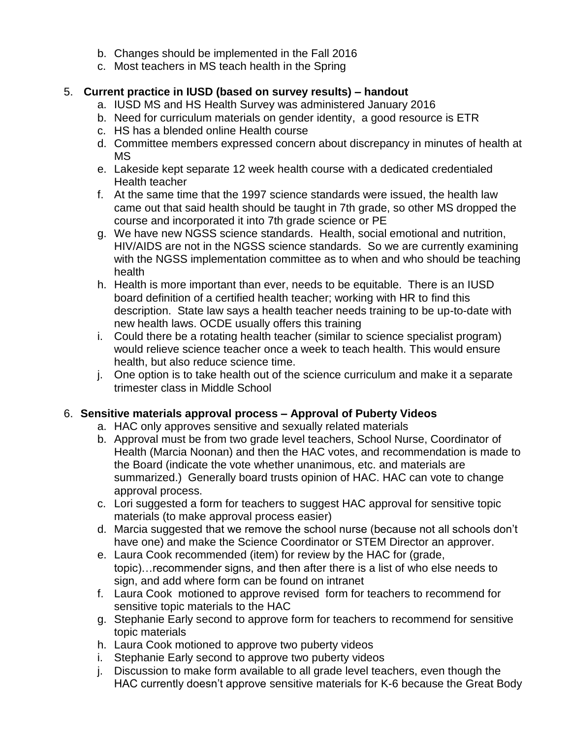- b. Changes should be implemented in the Fall 2016
- c. Most teachers in MS teach health in the Spring

# 5. **Current practice in IUSD (based on survey results) – handout**

- a. IUSD MS and HS Health Survey was administered January 2016
- b. Need for curriculum materials on gender identity, a good resource is ETR
- c. HS has a blended online Health course
- d. Committee members expressed concern about discrepancy in minutes of health at MS
- e. Lakeside kept separate 12 week health course with a dedicated credentialed Health teacher
- f. At the same time that the 1997 science standards were issued, the health law came out that said health should be taught in 7th grade, so other MS dropped the course and incorporated it into 7th grade science or PE
- g. We have new NGSS science standards. Health, social emotional and nutrition, HIV/AIDS are not in the NGSS science standards. So we are currently examining with the NGSS implementation committee as to when and who should be teaching health
- h. Health is more important than ever, needs to be equitable. There is an IUSD board definition of a certified health teacher; working with HR to find this description. State law says a health teacher needs training to be up-to-date with new health laws. OCDE usually offers this training
- i. Could there be a rotating health teacher (similar to science specialist program) would relieve science teacher once a week to teach health. This would ensure health, but also reduce science time.
- j. One option is to take health out of the science curriculum and make it a separate trimester class in Middle School

# 6. **Sensitive materials approval process – Approval of Puberty Videos**

- a. HAC only approves sensitive and sexually related materials
- b. Approval must be from two grade level teachers, School Nurse, Coordinator of Health (Marcia Noonan) and then the HAC votes, and recommendation is made to the Board (indicate the vote whether unanimous, etc. and materials are summarized.) Generally board trusts opinion of HAC. HAC can vote to change approval process.
- c. Lori suggested a form for teachers to suggest HAC approval for sensitive topic materials (to make approval process easier)
- d. Marcia suggested that we remove the school nurse (because not all schools don't have one) and make the Science Coordinator or STEM Director an approver.
- e. Laura Cook recommended (item) for review by the HAC for (grade, topic)…recommender signs, and then after there is a list of who else needs to sign, and add where form can be found on intranet
- f. Laura Cook motioned to approve revised form for teachers to recommend for sensitive topic materials to the HAC
- g. Stephanie Early second to approve form for teachers to recommend for sensitive topic materials
- h. Laura Cook motioned to approve two puberty videos
- i. Stephanie Early second to approve two puberty videos
- j. Discussion to make form available to all grade level teachers, even though the HAC currently doesn't approve sensitive materials for K-6 because the Great Body